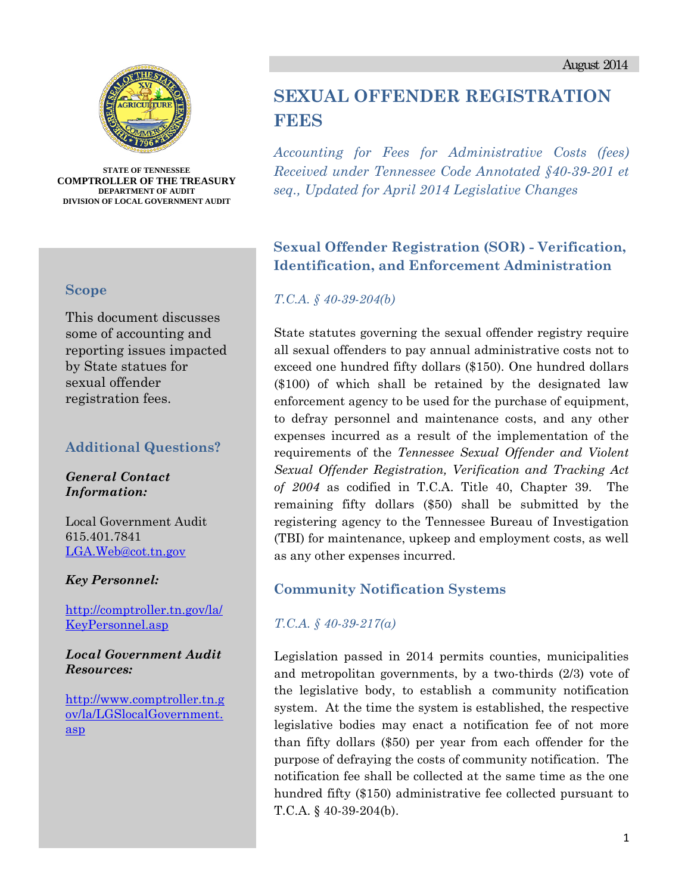



**STATE OF TENNESSEE COMPTROLLER OF THE TREASURY DEPARTMENT OF AUDIT DIVISION OF LOCAL GOVERNMENT AUDIT** 

#### **Scope**

This document discusses some of accounting and reporting issues impacted by State statues for sexual offender registration fees.

### **Additional Questions?**

*General Contact Information:* 

Local Government Audit 615.401.7841 LGA.Web@cot.tn.gov

*Key Personnel:* 

http://comptroller.tn.gov/la/ KeyPersonnel.asp

*Local Government Audit Resources:* 

http://www.comptroller.tn.g ov/la/LGSlocalGovernment. asp

# **SEXUAL OFFENDER REGISTRATION FEES**

*Accounting for Fees for Administrative Costs (fees) Received under Tennessee Code Annotated §40-39-201 et seq., Updated for April 2014 Legislative Changes* 

## **Sexual Offender Registration (SOR) - Verification, Identification, and Enforcement Administration**

### *T.C.A. § 40-39-204(b)*

State statutes governing the sexual offender registry require all sexual offenders to pay annual administrative costs not to exceed one hundred fifty dollars (\$150). One hundred dollars (\$100) of which shall be retained by the designated law enforcement agency to be used for the purchase of equipment, to defray personnel and maintenance costs, and any other expenses incurred as a result of the implementation of the requirements of the *Tennessee Sexual Offender and Violent Sexual Offender Registration, Verification and Tracking Act of 2004* as codified in T.C.A. Title 40, Chapter 39. The remaining fifty dollars (\$50) shall be submitted by the registering agency to the Tennessee Bureau of Investigation (TBI) for maintenance, upkeep and employment costs, as well as any other expenses incurred.

### **Community Notification Systems**

*T.C.A. § 40-39-217(a)* 

Legislation passed in 2014 permits counties, municipalities and metropolitan governments, by a two-thirds (2/3) vote of the legislative body, to establish a community notification system. At the time the system is established, the respective legislative bodies may enact a notification fee of not more than fifty dollars (\$50) per year from each offender for the purpose of defraying the costs of community notification. The notification fee shall be collected at the same time as the one hundred fifty (\$150) administrative fee collected pursuant to T.C.A. § 40-39-204(b).